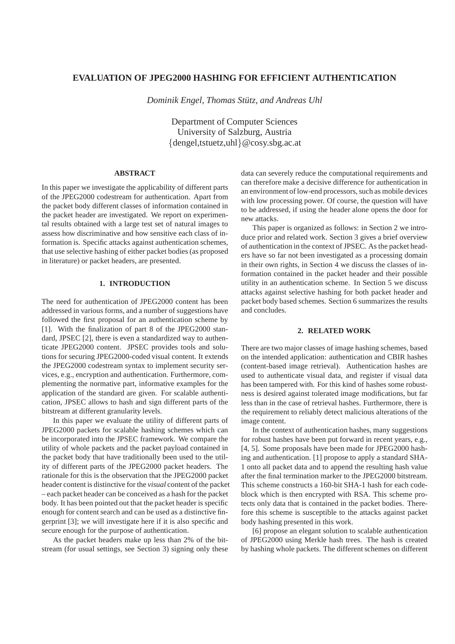# **EVALUATION OF JPEG2000 HASHING FOR EFFICIENT AUTHENTICATION**

*Dominik Engel, Thomas Stutz, and Andreas Uhl ¨*

Department of Computer Sciences University of Salzburg, Austria {dengel,tstuetz,uhl}@cosy.sbg.ac.at

## **ABSTRACT**

In this paper we investigate the applicability of different parts of the JPEG2000 codestream for authentication. Apart from the packet body different classes of information contained in the packet header are investigated. We report on experimental results obtained with a large test set of natural images to assess how discriminative and how sensitive each class of information is. Specific attacks against authentication schemes, that use selective hashing of either packet bodies (as proposed in literature) or packet headers, are presented.

## **1. INTRODUCTION**

The need for authentication of JPEG2000 content has been addressed in various forms, and a number of suggestions have followed the first proposal for an authentication scheme by [1]. With the finalization of part 8 of the JPEG2000 standard, JPSEC [2], there is even a standardized way to authenticate JPEG2000 content. JPSEC provides tools and solutions for securing JPEG2000-coded visual content. It extends the JPEG2000 codestream syntax to implement security services, e.g., encryption and authentication. Furthermore, complementing the normative part, informative examples for the application of the standard are given. For scalable authentication, JPSEC allows to hash and sign different parts of the bitstream at different granularity levels.

In this paper we evaluate the utility of different parts of JPEG2000 packets for scalable hashing schemes which can be incorporated into the JPSEC framework. We compare the utility of whole packets and the packet payload contained in the packet body that have traditionally been used to the utility of different parts of the JPEG2000 packet headers. The rationale for this is the observation that the JPEG2000 packet header content is distinctive for the *visual* content of the packet – each packet header can be conceived as a hash for the packet body. It has been pointed out that the packet header is specific enough for content search and can be used as a distinctive fingerprint [3]; we will investigate here if it is also specific and secure enough for the purpose of authentication.

As the packet headers make up less than 2% of the bitstream (for usual settings, see Section 3) signing only these data can severely reduce the computational requirements and can therefore make a decisive difference for authentication in an environment of low-end processors, such as mobile devices with low processing power. Of course, the question will have to be addressed, if using the header alone opens the door for new attacks.

This paper is organized as follows: in Section 2 we introduce prior and related work. Section 3 gives a brief overview of authentication in the context of JPSEC. As the packet headers have so far not been investigated as a processing domain in their own rights, in Section 4 we discuss the classes of information contained in the packet header and their possible utility in an authentication scheme. In Section 5 we discuss attacks against selective hashing for both packet header and packet body based schemes. Section 6 summarizes the results and concludes.

## **2. RELATED WORK**

There are two major classes of image hashing schemes, based on the intended application: authentication and CBIR hashes (content-based image retrieval). Authentication hashes are used to authenticate visual data, and register if visual data has been tampered with. For this kind of hashes some robustness is desired against tolerated image modifications, but far less than in the case of retrieval hashes. Furthermore, there is the requirement to reliably detect malicious alterations of the image content.

In the context of authentication hashes, many suggestions for robust hashes have been put forward in recent years, e.g., [4, 5]. Some proposals have been made for JPEG2000 hashing and authentication. [1] propose to apply a standard SHA-1 onto all packet data and to append the resulting hash value after the final termination marker to the JPEG2000 bitstream. This scheme constructs a 160-bit SHA-1 hash for each codeblock which is then encrypted with RSA. This scheme protects only data that is contained in the packet bodies. Therefore this scheme is susceptible to the attacks against packet body hashing presented in this work.

[6] propose an elegant solution to scalable authentication of JPEG2000 using Merkle hash trees. The hash is created by hashing whole packets. The different schemes on different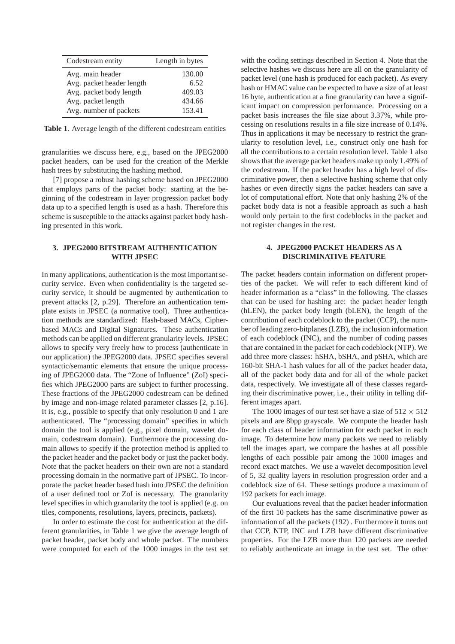| Codestream entity         | Length in bytes |
|---------------------------|-----------------|
| Avg. main header          | 130.00          |
| Avg. packet header length | 6.52            |
| Avg. packet body length   | 409.03          |
| Avg. packet length        | 434.66          |
| Avg. number of packets    | 153.41          |

**Table 1**. Average length of the different codestream entities

granularities we discuss here, e.g., based on the JPEG2000 packet headers, can be used for the creation of the Merkle hash trees by substituting the hashing method.

[7] propose a robust hashing scheme based on JPEG2000 that employs parts of the packet body: starting at the beginning of the codestream in layer progression packet body data up to a specified length is used as a hash. Therefore this scheme is susceptible to the attacks against packet body hashing presented in this work.

## **3. JPEG2000 BITSTREAM AUTHENTICATION WITH JPSEC**

In many applications, authentication is the most important security service. Even when confidentiality is the targeted security service, it should be augmented by authentication to prevent attacks [2, p.29]. Therefore an authentication template exists in JPSEC (a normative tool). Three authentication methods are standardized: Hash-based MACs, Cipherbased MACs and Digital Signatures. These authentication methods can be applied on different granularity levels. JPSEC allows to specify very freely how to process (authenticate in our application) the JPEG2000 data. JPSEC specifies several syntactic/semantic elements that ensure the unique processing of JPEG2000 data. The "Zone of Influence" (ZoI) specifies which JPEG2000 parts are subject to further processing. These fractions of the JPEG2000 codestream can be defined by image and non-image related parameter classes [2, p.16]. It is, e.g., possible to specify that only resolution 0 and 1 are authenticated. The "processing domain" specifies in which domain the tool is applied (e.g., pixel domain, wavelet domain, codestream domain). Furthermore the processing domain allows to specify if the protection method is applied to the packet header and the packet body or just the packet body. Note that the packet headers on their own are not a standard processing domain in the normative part of JPSEC. To incorporate the packet header based hash into JPSEC the definition of a user defined tool or ZoI is necessary. The granularity level specifies in which granularity the tool is applied (e.g. on tiles, components, resolutions, layers, precincts, packets).

In order to estimate the cost for authentication at the different granularities, in Table 1 we give the average length of packet header, packet body and whole packet. The numbers were computed for each of the 1000 images in the test set

with the coding settings described in Section 4. Note that the selective hashes we discuss here are all on the granularity of packet level (one hash is produced for each packet). As every hash or HMAC value can be expected to have a size of at least 16 byte, authentication at a fine granularity can have a significant impact on compression performance. Processing on a packet basis increases the file size about 3.37%, while processing on resolutions results in a file size increase of 0.14%. Thus in applications it may be necessary to restrict the granularity to resolution level, i.e., construct only one hash for all the contributions to a certain resolution level. Table 1 also shows that the average packet headers make up only 1.49% of the codestream. If the packet header has a high level of discriminative power, then a selective hashing scheme that only hashes or even directly signs the packet headers can save a lot of computational effort. Note that only hashing 2% of the packet body data is not a feasible approach as such a hash would only pertain to the first codeblocks in the packet and not register changes in the rest.

# **4. JPEG2000 PACKET HEADERS AS A DISCRIMINATIVE FEATURE**

The packet headers contain information on different properties of the packet. We will refer to each different kind of header information as a "class" in the following. The classes that can be used for hashing are: the packet header length (hLEN), the packet body length (bLEN), the length of the contribution of each codeblock to the packet (CCP), the number of leading zero-bitplanes (LZB), the inclusion information of each codeblock (INC), and the number of coding passes that are contained in the packet for each codeblock (NTP). We add three more classes: hSHA, bSHA, and pSHA, which are 160-bit SHA-1 hash values for all of the packet header data, all of the packet body data and for all of the whole packet data, respectively. We investigate all of these classes regarding their discriminative power, i.e., their utility in telling different images apart.

The 1000 images of our test set have a size of  $512 \times 512$ pixels and are 8bpp grayscale. We compute the header hash for each class of header information for each packet in each image. To determine how many packets we need to reliably tell the images apart, we compare the hashes at all possible lengths of each possible pair among the 1000 images and record exact matches. We use a wavelet decomposition level of 5, 32 quality layers in resolution progression order and a codeblock size of 64. These settings produce a maximum of 192 packets for each image.

Our evaluations reveal that the packet header information of the first 10 packets has the same discriminative power as information of all the packets (192) . Furthermore it turns out that CCP, NTP, INC and LZB have different discriminative properties. For the LZB more than 120 packets are needed to reliably authenticate an image in the test set. The other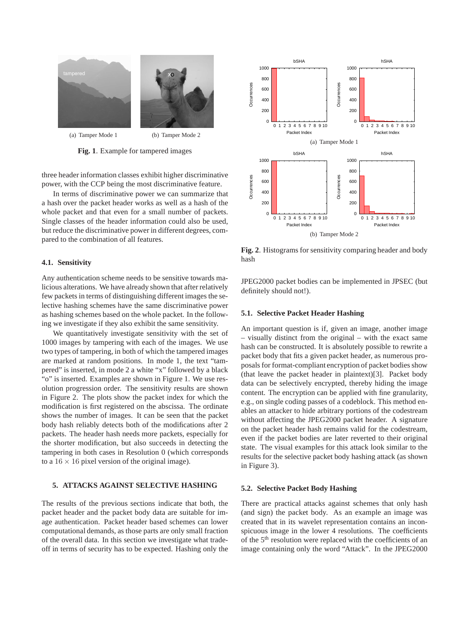

(a) Tamper Mode 1 (b) Tamper Mode 2

**Fig. 1**. Example for tampered images

three header information classes exhibit higher discriminative power, with the CCP being the most discriminative feature.

In terms of discriminative power we can summarize that a hash over the packet header works as well as a hash of the whole packet and that even for a small number of packets. Single classes of the header information could also be used, but reduce the discriminative power in different degrees, compared to the combination of all features.

#### **4.1. Sensitivity**

Any authentication scheme needs to be sensitive towards malicious alterations. We have already shown that after relatively few packets in terms of distinguishing different images the selective hashing schemes have the same discriminative power as hashing schemes based on the whole packet. In the following we investigate if they also exhibit the same sensitivity.

We quantitatively investigate sensitivity with the set of 1000 images by tampering with each of the images. We use two types of tampering, in both of which the tampered images are marked at random positions. In mode 1, the text "tampered" is inserted, in mode 2 a white "x" followed by a black "o" is inserted. Examples are shown in Figure 1. We use resolution progression order. The sensitivity results are shown in Figure 2. The plots show the packet index for which the modification is first registered on the abscissa. The ordinate shows the number of images. It can be seen that the packet body hash reliably detects both of the modifications after 2 packets. The header hash needs more packets, especially for the shorter modification, but also succeeds in detecting the tampering in both cases in Resolution 0 (which corresponds to a  $16 \times 16$  pixel version of the original image).

#### **5. ATTACKS AGAINST SELECTIVE HASHING**

The results of the previous sections indicate that both, the packet header and the packet body data are suitable for image authentication. Packet header based schemes can lower computational demands, as those parts are only small fraction of the overall data. In this section we investigate what tradeoff in terms of security has to be expected. Hashing only the



**Fig. 2**. Histograms for sensitivity comparing header and body hash

JPEG2000 packet bodies can be implemented in JPSEC (but definitely should not!).

#### **5.1. Selective Packet Header Hashing**

An important question is if, given an image, another image – visually distinct from the original – with the exact same hash can be constructed. It is absolutely possible to rewrite a packet body that fits a given packet header, as numerous proposals for format-compliant encryption of packet bodies show (that leave the packet header in plaintext)[3]. Packet body data can be selectively encrypted, thereby hiding the image content. The encryption can be applied with fine granularity, e.g., on single coding passes of a codeblock. This method enables an attacker to hide arbitrary portions of the codestream without affecting the JPEG2000 packet header. A signature on the packet header hash remains valid for the codestream, even if the packet bodies are later reverted to their original state. The visual examples for this attack look similar to the results for the selective packet body hashing attack (as shown in Figure 3).

### **5.2. Selective Packet Body Hashing**

There are practical attacks against schemes that only hash (and sign) the packet body. As an example an image was created that in its wavelet representation contains an inconspicuous image in the lower 4 resolutions. The coefficients of the 5<sup>th</sup> resolution were replaced with the coefficients of an image containing only the word "Attack". In the JPEG2000